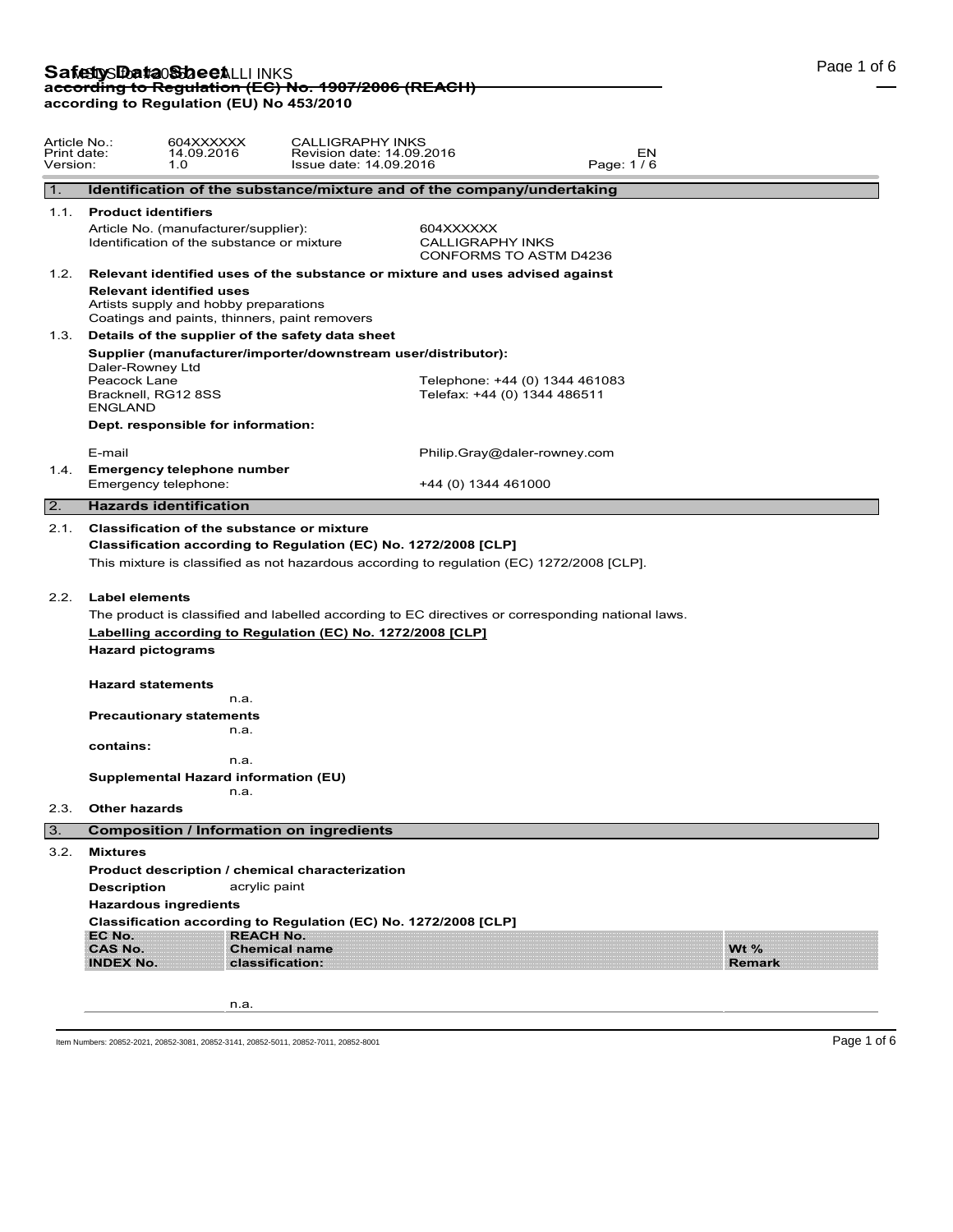# **Safetty Data Sheet** LLI INKS<br>ac<del>cording to Regulation (EC) No. 1907/2006 (REACH)</del> **according to Regulation (EU) No 453/2010**

| Article No.:<br>Print date:<br>Version: |                                                                                                                                            | 604XXXXXX<br>14.09.2016<br>1.0                                                                                                                                  | <b>CALLIGRAPHY INKS</b><br>Revision date: 14.09.2016<br>Issue date: 14.09.2016                                                                                                                                                                               |                                                                |                         |                               | EN<br>Page: 1/6 |                         |  |  |
|-----------------------------------------|--------------------------------------------------------------------------------------------------------------------------------------------|-----------------------------------------------------------------------------------------------------------------------------------------------------------------|--------------------------------------------------------------------------------------------------------------------------------------------------------------------------------------------------------------------------------------------------------------|----------------------------------------------------------------|-------------------------|-------------------------------|-----------------|-------------------------|--|--|
| 1.                                      |                                                                                                                                            |                                                                                                                                                                 | Identification of the substance/mixture and of the company/undertaking                                                                                                                                                                                       |                                                                |                         |                               |                 |                         |  |  |
| 1.1.                                    | <b>Product identifiers</b>                                                                                                                 |                                                                                                                                                                 |                                                                                                                                                                                                                                                              |                                                                |                         |                               |                 |                         |  |  |
|                                         |                                                                                                                                            | Article No. (manufacturer/supplier):<br>604XXXXXX<br>Identification of the substance or mixture                                                                 |                                                                                                                                                                                                                                                              |                                                                | <b>CALLIGRAPHY INKS</b> | <b>CONFORMS TO ASTM D4236</b> |                 |                         |  |  |
| 1.2.                                    | Relevant identified uses of the substance or mixture and uses advised against                                                              |                                                                                                                                                                 |                                                                                                                                                                                                                                                              |                                                                |                         |                               |                 |                         |  |  |
|                                         |                                                                                                                                            | <b>Relevant identified uses</b><br>Artists supply and hobby preparations<br>Coatings and paints, thinners, paint removers                                       |                                                                                                                                                                                                                                                              |                                                                |                         |                               |                 |                         |  |  |
| 1.3.                                    |                                                                                                                                            | Details of the supplier of the safety data sheet                                                                                                                |                                                                                                                                                                                                                                                              |                                                                |                         |                               |                 |                         |  |  |
|                                         | Supplier (manufacturer/importer/downstream user/distributor):<br>Daler-Rowney Ltd<br>Peacock Lane<br>Bracknell, RG12 8SS<br><b>ENGLAND</b> |                                                                                                                                                                 |                                                                                                                                                                                                                                                              | Telephone: +44 (0) 1344 461083<br>Telefax: +44 (0) 1344 486511 |                         |                               |                 |                         |  |  |
|                                         |                                                                                                                                            | Dept. responsible for information:                                                                                                                              |                                                                                                                                                                                                                                                              |                                                                |                         |                               |                 |                         |  |  |
|                                         | E-mail                                                                                                                                     |                                                                                                                                                                 |                                                                                                                                                                                                                                                              | Philip.Gray@daler-rowney.com                                   |                         |                               |                 |                         |  |  |
| 1.4.                                    |                                                                                                                                            | <b>Emergency telephone number</b><br>Emergency telephone:                                                                                                       | +44 (0) 1344 461000                                                                                                                                                                                                                                          |                                                                |                         |                               |                 |                         |  |  |
| 2.                                      |                                                                                                                                            | <b>Hazards identification</b>                                                                                                                                   |                                                                                                                                                                                                                                                              |                                                                |                         |                               |                 |                         |  |  |
| 2.2.                                    | <b>Label elements</b><br>contains:<br><b>Other hazards</b>                                                                                 | <b>Hazard pictograms</b><br><b>Hazard statements</b><br>n.a.<br><b>Precautionary statements</b><br>n.a.<br>n.a.<br>Supplemental Hazard information (EU)<br>n.a. | This mixture is classified as not hazardous according to regulation (EC) 1272/2008 [CLP].<br>The product is classified and labelled according to EC directives or corresponding national laws.<br>Labelling according to Regulation (EC) No. 1272/2008 [CLP] |                                                                |                         |                               |                 |                         |  |  |
| 2.3.                                    |                                                                                                                                            |                                                                                                                                                                 |                                                                                                                                                                                                                                                              |                                                                |                         |                               |                 |                         |  |  |
| l 3.                                    |                                                                                                                                            | <b>Composition / Information on ingredients</b>                                                                                                                 |                                                                                                                                                                                                                                                              |                                                                |                         |                               |                 |                         |  |  |
|                                         | 3.2. Mixtures<br><b>Description</b><br>EC No.<br><b>CAS No.</b><br><b>INDEX No.</b>                                                        | acrylic paint<br><b>Hazardous ingredients</b><br><b>REACH No.</b>                                                                                               | Product description / chemical characterization<br>Classification according to Regulation (EC) No. 1272/2008 [CLP]<br><b>Chemical name</b><br>classification:                                                                                                |                                                                |                         |                               |                 | Wt $%$<br><b>Remark</b> |  |  |
|                                         |                                                                                                                                            | n.a.                                                                                                                                                            |                                                                                                                                                                                                                                                              |                                                                |                         |                               |                 |                         |  |  |

Item Numbers: 20852-2021, 20852-3081, 20852-3141, 20852-5011, 20852-7011, 20852-8001 Page 1 of 6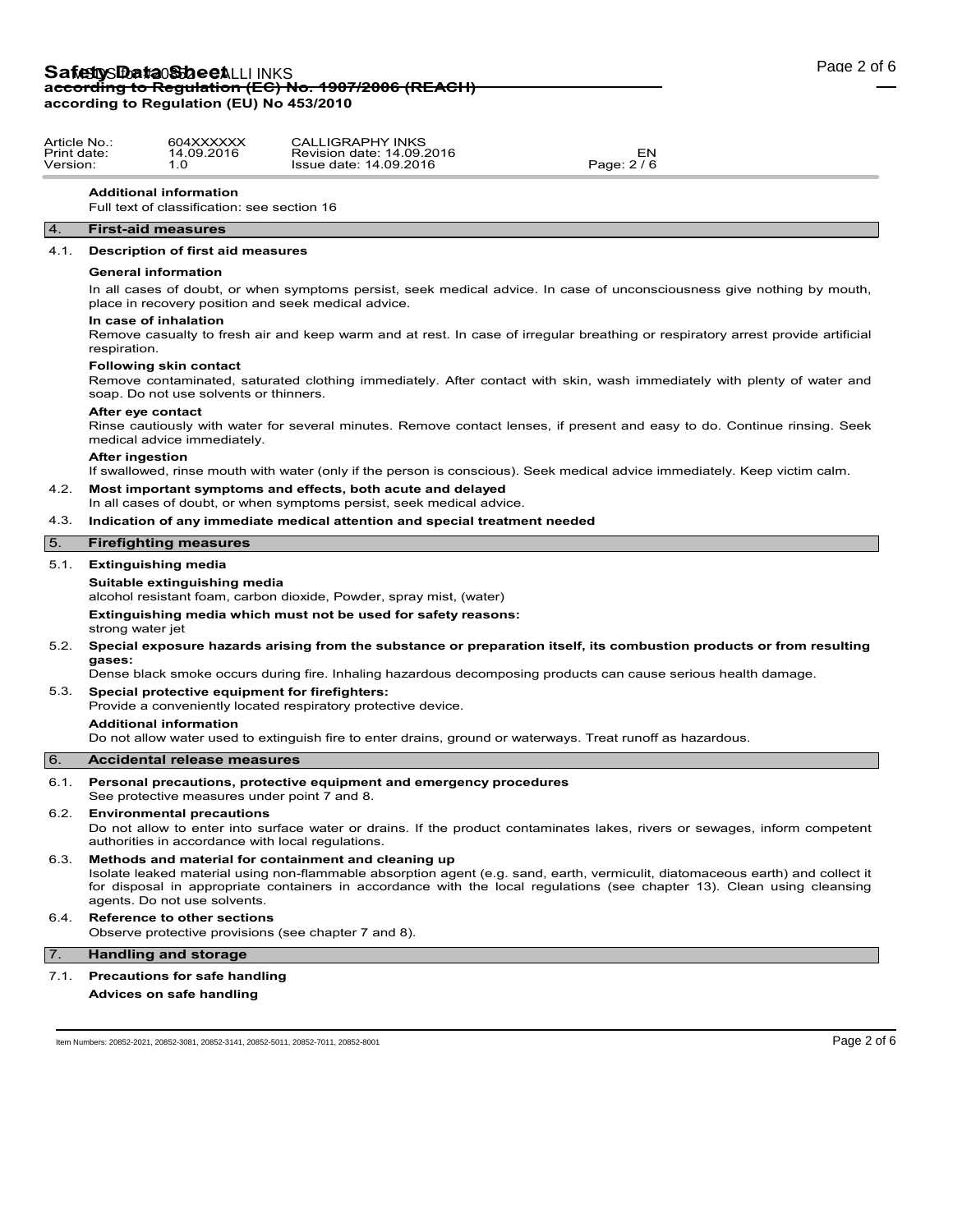# Safety **Data Sheet**LLI INKS **according to Regulation (EC) No. 1907/2006 (REACH) according to Regulation (EU) No 453/2010**

| Article No.: | 604XXXXXX  | <b>CALLIGRAPHY INKS</b>   |           |  |
|--------------|------------|---------------------------|-----------|--|
| Print date:  | 14.09.2016 | Revision date: 14.09.2016 | ורי       |  |
| Version:     |            | Issue date: 14.09.2016    | Page: 2/6 |  |

### **Additional information**

Full text of classification: see section 16

## 4. **First-aid measures**

## 4.1. **Description of first aid measures**

#### **General information**

In all cases of doubt, or when symptoms persist, seek medical advice. In case of unconsciousness give nothing by mouth, place in recovery position and seek medical advice.

#### **In case of inhalation**

Remove casualty to fresh air and keep warm and at rest. In case of irregular breathing or respiratory arrest provide artificial respiration.

#### **Following skin contact**

Remove contaminated, saturated clothing immediately. After contact with skin, wash immediately with plenty of water and soap. Do not use solvents or thinners.

## **After eye contact**

Rinse cautiously with water for several minutes. Remove contact lenses, if present and easy to do. Continue rinsing. Seek medical advice immediately.

#### **After ingestion**

If swallowed, rinse mouth with water (only if the person is conscious). Seek medical advice immediately. Keep victim calm.

## 4.2. **Most important symptoms and effects, both acute and delayed**

In all cases of doubt, or when symptoms persist, seek medical advice.

## 4.3. **Indication of any immediate medical attention and special treatment needed**

#### 5. **Firefighting measures**

#### 5.1. **Extinguishing media**

#### **Suitable extinguishing media**

alcohol resistant foam, carbon dioxide, Powder, spray mist, (water)

**Extinguishing media which must not be used for safety reasons:** strong water jet

#### 5.2. **Special exposure hazards arising from the substance or preparation itself, its combustion products or from resulting gases:**

Dense black smoke occurs during fire. Inhaling hazardous decomposing products can cause serious health damage.

## 5.3. **Special protective equipment for firefighters:**

Provide a conveniently located respiratory protective device.

#### **Additional information**

Do not allow water used to extinguish fire to enter drains, ground or waterways. Treat runoff as hazardous.

# 6. **Accidental release measures**

- 6.1. **Personal precautions, protective equipment and emergency procedures**
- See protective measures under point 7 and 8.

#### 6.2. **Environmental precautions**

Do not allow to enter into surface water or drains. If the product contaminates lakes, rivers or sewages, inform competent authorities in accordance with local regulations.

#### 6.3. **Methods and material for containment and cleaning up** Isolate leaked material using non-flammable absorption agent (e.g. sand, earth, vermiculit, diatomaceous earth) and collect it for disposal in appropriate containers in accordance with the local regulations (see chapter 13). Clean using cleansing agents. Do not use solvents.

## 6.4. **Reference to other sections**

Observe protective provisions (see chapter 7 and 8).

## 7. **Handling and storage**

## 7.1. **Precautions for safe handling**

**Advices on safe handling**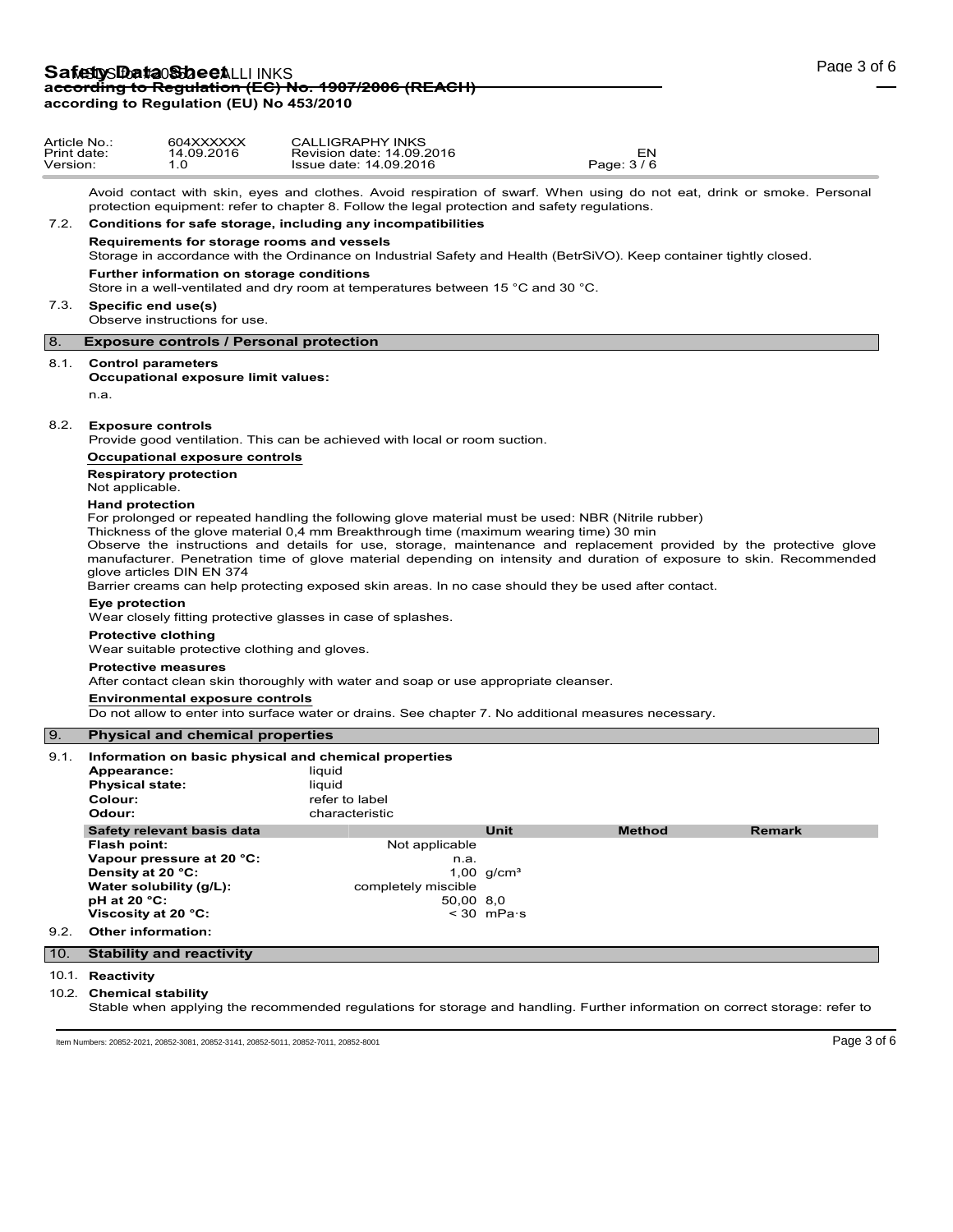| Article No.:<br>Print date:<br>Version: |                                                                                                                                                                                                                                                                                                                                                                                                                                                                                                                                                                                                             | 604XXXXXX<br>14.09.2016<br>1.0                                                                                                         | <b>CALLIGRAPHY INKS</b><br>Revision date: 14.09.2016<br>Issue date: 14.09.2016                                                                                                                                          |                                                                      | EN<br>Page: 3/6 |        |  |  |  |
|-----------------------------------------|-------------------------------------------------------------------------------------------------------------------------------------------------------------------------------------------------------------------------------------------------------------------------------------------------------------------------------------------------------------------------------------------------------------------------------------------------------------------------------------------------------------------------------------------------------------------------------------------------------------|----------------------------------------------------------------------------------------------------------------------------------------|-------------------------------------------------------------------------------------------------------------------------------------------------------------------------------------------------------------------------|----------------------------------------------------------------------|-----------------|--------|--|--|--|
|                                         |                                                                                                                                                                                                                                                                                                                                                                                                                                                                                                                                                                                                             |                                                                                                                                        | Avoid contact with skin, eyes and clothes. Avoid respiration of swarf. When using do not eat, drink or smoke. Personal<br>protection equipment: refer to chapter 8. Follow the legal protection and safety regulations. |                                                                      |                 |        |  |  |  |
|                                         | 7.2. Conditions for safe storage, including any incompatibilities                                                                                                                                                                                                                                                                                                                                                                                                                                                                                                                                           |                                                                                                                                        |                                                                                                                                                                                                                         |                                                                      |                 |        |  |  |  |
|                                         | Requirements for storage rooms and vessels<br>Storage in accordance with the Ordinance on Industrial Safety and Health (BetrSiVO). Keep container tightly closed.                                                                                                                                                                                                                                                                                                                                                                                                                                           |                                                                                                                                        |                                                                                                                                                                                                                         |                                                                      |                 |        |  |  |  |
|                                         |                                                                                                                                                                                                                                                                                                                                                                                                                                                                                                                                                                                                             | Further information on storage conditions                                                                                              | Store in a well-ventilated and dry room at temperatures between 15 $\degree$ C and 30 $\degree$ C.                                                                                                                      |                                                                      |                 |        |  |  |  |
|                                         |                                                                                                                                                                                                                                                                                                                                                                                                                                                                                                                                                                                                             | 7.3. Specific end use(s)<br>Observe instructions for use.                                                                              |                                                                                                                                                                                                                         |                                                                      |                 |        |  |  |  |
| 8.                                      |                                                                                                                                                                                                                                                                                                                                                                                                                                                                                                                                                                                                             | <b>Exposure controls / Personal protection</b>                                                                                         |                                                                                                                                                                                                                         |                                                                      |                 |        |  |  |  |
|                                         | n.a.                                                                                                                                                                                                                                                                                                                                                                                                                                                                                                                                                                                                        | 8.1. Control parameters<br>Occupational exposure limit values:                                                                         |                                                                                                                                                                                                                         |                                                                      |                 |        |  |  |  |
| 8.2.                                    | <b>Exposure controls</b><br>Provide good ventilation. This can be achieved with local or room suction.                                                                                                                                                                                                                                                                                                                                                                                                                                                                                                      |                                                                                                                                        |                                                                                                                                                                                                                         |                                                                      |                 |        |  |  |  |
|                                         |                                                                                                                                                                                                                                                                                                                                                                                                                                                                                                                                                                                                             | Occupational exposure controls                                                                                                         |                                                                                                                                                                                                                         |                                                                      |                 |        |  |  |  |
|                                         | <b>Respiratory protection</b><br>Not applicable.                                                                                                                                                                                                                                                                                                                                                                                                                                                                                                                                                            |                                                                                                                                        |                                                                                                                                                                                                                         |                                                                      |                 |        |  |  |  |
|                                         | <b>Hand protection</b><br>For prolonged or repeated handling the following glove material must be used: NBR (Nitrile rubber)<br>Thickness of the glove material 0,4 mm Breakthrough time (maximum wearing time) 30 min<br>Observe the instructions and details for use, storage, maintenance and replacement provided by the protective glove<br>manufacturer. Penetration time of glove material depending on intensity and duration of exposure to skin. Recommended<br>glove articles DIN EN 374<br>Barrier creams can help protecting exposed skin areas. In no case should they be used after contact. |                                                                                                                                        |                                                                                                                                                                                                                         |                                                                      |                 |        |  |  |  |
|                                         | Eye protection<br>Wear closely fitting protective glasses in case of splashes.                                                                                                                                                                                                                                                                                                                                                                                                                                                                                                                              |                                                                                                                                        |                                                                                                                                                                                                                         |                                                                      |                 |        |  |  |  |
|                                         | <b>Protective clothing</b><br>Wear suitable protective clothing and gloves.                                                                                                                                                                                                                                                                                                                                                                                                                                                                                                                                 |                                                                                                                                        |                                                                                                                                                                                                                         |                                                                      |                 |        |  |  |  |
|                                         | <b>Protective measures</b><br>After contact clean skin thoroughly with water and soap or use appropriate cleanser.                                                                                                                                                                                                                                                                                                                                                                                                                                                                                          |                                                                                                                                        |                                                                                                                                                                                                                         |                                                                      |                 |        |  |  |  |
|                                         | <b>Environmental exposure controls</b><br>Do not allow to enter into surface water or drains. See chapter 7. No additional measures necessary.                                                                                                                                                                                                                                                                                                                                                                                                                                                              |                                                                                                                                        |                                                                                                                                                                                                                         |                                                                      |                 |        |  |  |  |
| $\boxed{9}$ .                           |                                                                                                                                                                                                                                                                                                                                                                                                                                                                                                                                                                                                             | <b>Physical and chemical properties</b>                                                                                                |                                                                                                                                                                                                                         |                                                                      |                 |        |  |  |  |
| 9.1.                                    | Appearance:<br><b>Physical state:</b><br>Colour:<br>Odour:                                                                                                                                                                                                                                                                                                                                                                                                                                                                                                                                                  |                                                                                                                                        | Information on basic physical and chemical properties<br>liquid<br>liquid<br>refer to label<br>characteristic                                                                                                           |                                                                      |                 |        |  |  |  |
| 9.2.                                    | Flash point:<br>Density at 20 °C:<br>pH at 20 $°C$ :                                                                                                                                                                                                                                                                                                                                                                                                                                                                                                                                                        | Safety relevant basis data<br>Vapour pressure at 20 °C:<br>Water solubility (q/L):<br>Viscosity at 20 °C:<br><b>Other information:</b> | Not applicable<br>completely miscible                                                                                                                                                                                   | Unit<br>n.a.<br>1,00 $q/cm^{3}$<br>50,00 8,0<br>$<$ 30 mPa $\cdot$ s | Method          | Remark |  |  |  |
| 10.                                     |                                                                                                                                                                                                                                                                                                                                                                                                                                                                                                                                                                                                             | <b>Stability and reactivity</b>                                                                                                        |                                                                                                                                                                                                                         |                                                                      |                 |        |  |  |  |
|                                         |                                                                                                                                                                                                                                                                                                                                                                                                                                                                                                                                                                                                             |                                                                                                                                        |                                                                                                                                                                                                                         |                                                                      |                 |        |  |  |  |
|                                         | 10.1. Reactivity<br>10.2. Chemical stability                                                                                                                                                                                                                                                                                                                                                                                                                                                                                                                                                                |                                                                                                                                        |                                                                                                                                                                                                                         |                                                                      |                 |        |  |  |  |

Stable when applying the recommended regulations for storage and handling. Further information on correct storage: refer to

Item Numbers: 20852-2021, 20852-3081, 20852-3141, 20852-5011, 20852-7011, 20852-8001 Page 3 of 6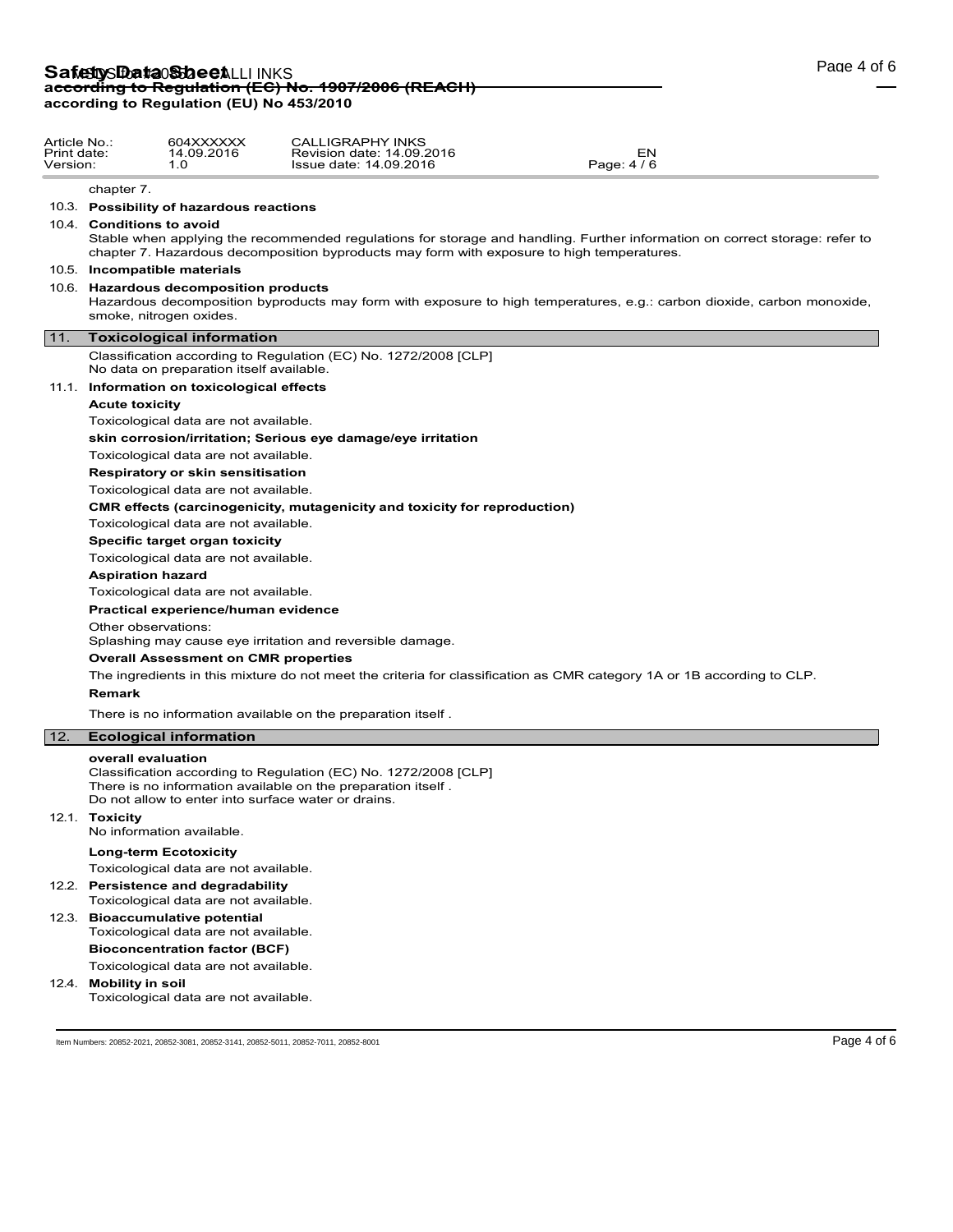| Article No.:<br>Print date:<br>Version: |                                                                                                                                                                                                                                                        | 604XXXXXX<br>14.09.2016<br>1.0                                               | <b>CALLIGRAPHY INKS</b><br>Revision date: 14.09.2016<br>Issue date: 14.09.2016                                                                                                         | EN<br>Page: 4 / 6                                                                                                      |             |  |  |  |  |
|-----------------------------------------|--------------------------------------------------------------------------------------------------------------------------------------------------------------------------------------------------------------------------------------------------------|------------------------------------------------------------------------------|----------------------------------------------------------------------------------------------------------------------------------------------------------------------------------------|------------------------------------------------------------------------------------------------------------------------|-------------|--|--|--|--|
|                                         | chapter 7.                                                                                                                                                                                                                                             |                                                                              |                                                                                                                                                                                        |                                                                                                                        |             |  |  |  |  |
|                                         | 10.3. Possibility of hazardous reactions                                                                                                                                                                                                               |                                                                              |                                                                                                                                                                                        |                                                                                                                        |             |  |  |  |  |
|                                         | 10.4. Conditions to avoid<br>Stable when applying the recommended regulations for storage and handling. Further information on correct storage: refer to<br>chapter 7. Hazardous decomposition byproducts may form with exposure to high temperatures. |                                                                              |                                                                                                                                                                                        |                                                                                                                        |             |  |  |  |  |
|                                         | 10.5. Incompatible materials                                                                                                                                                                                                                           |                                                                              |                                                                                                                                                                                        |                                                                                                                        |             |  |  |  |  |
|                                         | 10.6. Hazardous decomposition products<br>Hazardous decomposition byproducts may form with exposure to high temperatures, e.g.: carbon dioxide, carbon monoxide,<br>smoke, nitrogen oxides.                                                            |                                                                              |                                                                                                                                                                                        |                                                                                                                        |             |  |  |  |  |
| $11.$                                   |                                                                                                                                                                                                                                                        | <b>Toxicological information</b>                                             |                                                                                                                                                                                        |                                                                                                                        |             |  |  |  |  |
|                                         |                                                                                                                                                                                                                                                        | No data on preparation itself available.                                     | Classification according to Regulation (EC) No. 1272/2008 [CLP]                                                                                                                        |                                                                                                                        |             |  |  |  |  |
|                                         |                                                                                                                                                                                                                                                        | 11.1. Information on toxicological effects                                   |                                                                                                                                                                                        |                                                                                                                        |             |  |  |  |  |
|                                         | <b>Acute toxicity</b>                                                                                                                                                                                                                                  |                                                                              |                                                                                                                                                                                        |                                                                                                                        |             |  |  |  |  |
|                                         |                                                                                                                                                                                                                                                        | Toxicological data are not available.                                        |                                                                                                                                                                                        |                                                                                                                        |             |  |  |  |  |
|                                         |                                                                                                                                                                                                                                                        |                                                                              | skin corrosion/irritation; Serious eye damage/eye irritation                                                                                                                           |                                                                                                                        |             |  |  |  |  |
|                                         |                                                                                                                                                                                                                                                        | Toxicological data are not available.                                        |                                                                                                                                                                                        |                                                                                                                        |             |  |  |  |  |
|                                         |                                                                                                                                                                                                                                                        | Respiratory or skin sensitisation                                            |                                                                                                                                                                                        |                                                                                                                        |             |  |  |  |  |
|                                         |                                                                                                                                                                                                                                                        | Toxicological data are not available.                                        |                                                                                                                                                                                        |                                                                                                                        |             |  |  |  |  |
|                                         | <b>CMR</b> effects (carcinogenicity, mutagenicity and toxicity for reproduction)<br>Toxicological data are not available.                                                                                                                              |                                                                              |                                                                                                                                                                                        |                                                                                                                        |             |  |  |  |  |
|                                         |                                                                                                                                                                                                                                                        |                                                                              |                                                                                                                                                                                        |                                                                                                                        |             |  |  |  |  |
|                                         |                                                                                                                                                                                                                                                        | Specific target organ toxicity<br>Toxicological data are not available.      |                                                                                                                                                                                        |                                                                                                                        |             |  |  |  |  |
|                                         | <b>Aspiration hazard</b>                                                                                                                                                                                                                               |                                                                              |                                                                                                                                                                                        |                                                                                                                        |             |  |  |  |  |
|                                         |                                                                                                                                                                                                                                                        | Toxicological data are not available.                                        |                                                                                                                                                                                        |                                                                                                                        |             |  |  |  |  |
|                                         |                                                                                                                                                                                                                                                        | Practical experience/human evidence                                          |                                                                                                                                                                                        |                                                                                                                        |             |  |  |  |  |
|                                         | Other observations:                                                                                                                                                                                                                                    |                                                                              |                                                                                                                                                                                        |                                                                                                                        |             |  |  |  |  |
|                                         |                                                                                                                                                                                                                                                        |                                                                              | Splashing may cause eye irritation and reversible damage.                                                                                                                              |                                                                                                                        |             |  |  |  |  |
|                                         |                                                                                                                                                                                                                                                        | <b>Overall Assessment on CMR properties</b>                                  |                                                                                                                                                                                        |                                                                                                                        |             |  |  |  |  |
|                                         | Remark                                                                                                                                                                                                                                                 |                                                                              |                                                                                                                                                                                        | The ingredients in this mixture do not meet the criteria for classification as CMR category 1A or 1B according to CLP. |             |  |  |  |  |
|                                         |                                                                                                                                                                                                                                                        |                                                                              | There is no information available on the preparation itself.                                                                                                                           |                                                                                                                        |             |  |  |  |  |
| 12.                                     |                                                                                                                                                                                                                                                        | <b>Ecological information</b>                                                |                                                                                                                                                                                        |                                                                                                                        |             |  |  |  |  |
|                                         | overall evaluation                                                                                                                                                                                                                                     |                                                                              | Classification according to Regulation (EC) No. 1272/2008 [CLP]<br>There is no information available on the preparation itself.<br>Do not allow to enter into surface water or drains. |                                                                                                                        |             |  |  |  |  |
|                                         | 12.1. Toxicity                                                                                                                                                                                                                                         | No information available.                                                    |                                                                                                                                                                                        |                                                                                                                        |             |  |  |  |  |
|                                         |                                                                                                                                                                                                                                                        | <b>Long-term Ecotoxicity</b><br>Toxicological data are not available.        |                                                                                                                                                                                        |                                                                                                                        |             |  |  |  |  |
|                                         |                                                                                                                                                                                                                                                        | 12.2. Persistence and degradability<br>Toxicological data are not available. |                                                                                                                                                                                        |                                                                                                                        |             |  |  |  |  |
|                                         |                                                                                                                                                                                                                                                        | 12.3. Bioaccumulative potential<br>Toxicological data are not available.     |                                                                                                                                                                                        |                                                                                                                        |             |  |  |  |  |
|                                         |                                                                                                                                                                                                                                                        | <b>Bioconcentration factor (BCF)</b>                                         |                                                                                                                                                                                        |                                                                                                                        |             |  |  |  |  |
|                                         |                                                                                                                                                                                                                                                        | Toxicological data are not available.                                        |                                                                                                                                                                                        |                                                                                                                        |             |  |  |  |  |
|                                         | 12.4. Mobility in soil                                                                                                                                                                                                                                 | Toxicological data are not available.                                        |                                                                                                                                                                                        |                                                                                                                        |             |  |  |  |  |
|                                         |                                                                                                                                                                                                                                                        |                                                                              | Item Numbers: 20852-2021, 20852-3081, 20852-3141, 20852-5011, 20852-7011, 20852-8001                                                                                                   |                                                                                                                        | Page 4 of 6 |  |  |  |  |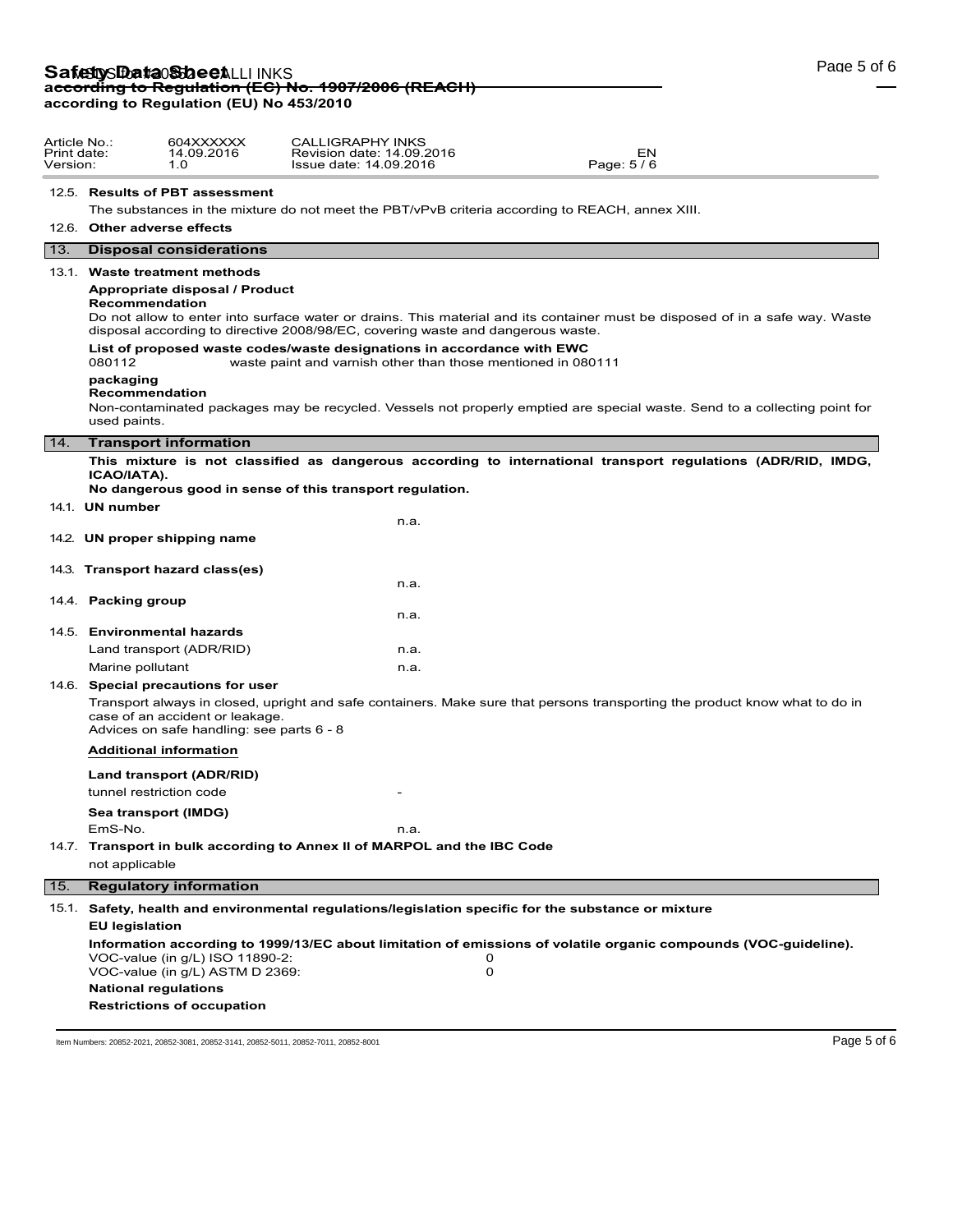# **Safetty Data Sheet** LLI INKS<br>ac<del>cording to Regulation (EC) No. 1907/2006 (REACH)</del> **according to Regulation (EU) No 453/2010**

Article No.: 604XXXXXX Print date: 14.09.2016 Version: 1.0

|              | 12.5. Results of PBT assessment                                                                                                                                                                             |  |  |  |  |  |  |  |
|--------------|-------------------------------------------------------------------------------------------------------------------------------------------------------------------------------------------------------------|--|--|--|--|--|--|--|
|              | The substances in the mixture do not meet the PBT/vPvB criteria according to REACH, annex XIII.                                                                                                             |  |  |  |  |  |  |  |
|              | 12.6. Other adverse effects                                                                                                                                                                                 |  |  |  |  |  |  |  |
| 13.          | <b>Disposal considerations</b>                                                                                                                                                                              |  |  |  |  |  |  |  |
|              | 13.1. Waste treatment methods                                                                                                                                                                               |  |  |  |  |  |  |  |
|              | Appropriate disposal / Product<br>Recommendation<br>Do not allow to enter into surface water or drains. This material and its container must be disposed of in a safe way. Waste                            |  |  |  |  |  |  |  |
|              | disposal according to directive 2008/98/EC, covering waste and dangerous waste.                                                                                                                             |  |  |  |  |  |  |  |
|              | List of proposed waste codes/waste designations in accordance with EWC<br>080112<br>waste paint and varnish other than those mentioned in 080111                                                            |  |  |  |  |  |  |  |
|              | packaging<br>Recommendation<br>Non-contaminated packages may be recycled. Vessels not properly emptied are special waste. Send to a collecting point for<br>used paints.                                    |  |  |  |  |  |  |  |
| 14.          | <b>Transport information</b>                                                                                                                                                                                |  |  |  |  |  |  |  |
|              | This mixture is not classified as dangerous according to international transport regulations (ADR/RID, IMDG,<br>ICAO/IATA).                                                                                 |  |  |  |  |  |  |  |
|              | No dangerous good in sense of this transport regulation.<br>14.1. UN number                                                                                                                                 |  |  |  |  |  |  |  |
|              | n.a.                                                                                                                                                                                                        |  |  |  |  |  |  |  |
|              | 14.2. UN proper shipping name                                                                                                                                                                               |  |  |  |  |  |  |  |
|              |                                                                                                                                                                                                             |  |  |  |  |  |  |  |
|              | 14.3. Transport hazard class(es)<br>n.a.                                                                                                                                                                    |  |  |  |  |  |  |  |
|              | 14.4. Packing group                                                                                                                                                                                         |  |  |  |  |  |  |  |
|              | n.a.                                                                                                                                                                                                        |  |  |  |  |  |  |  |
|              | 14.5. Environmental hazards                                                                                                                                                                                 |  |  |  |  |  |  |  |
|              | Land transport (ADR/RID)<br>n.a.                                                                                                                                                                            |  |  |  |  |  |  |  |
|              | Marine pollutant<br>n.a.                                                                                                                                                                                    |  |  |  |  |  |  |  |
|              | 14.6. Special precautions for user                                                                                                                                                                          |  |  |  |  |  |  |  |
|              | Transport always in closed, upright and safe containers. Make sure that persons transporting the product know what to do in<br>case of an accident or leakage.<br>Advices on safe handling: see parts 6 - 8 |  |  |  |  |  |  |  |
|              | <b>Additional information</b>                                                                                                                                                                               |  |  |  |  |  |  |  |
|              | Land transport (ADR/RID)                                                                                                                                                                                    |  |  |  |  |  |  |  |
|              | tunnel restriction code                                                                                                                                                                                     |  |  |  |  |  |  |  |
|              | Sea transport (IMDG)                                                                                                                                                                                        |  |  |  |  |  |  |  |
|              | EmS-No.<br>n.a.                                                                                                                                                                                             |  |  |  |  |  |  |  |
|              | 14.7. Transport in bulk according to Annex II of MARPOL and the IBC Code                                                                                                                                    |  |  |  |  |  |  |  |
|              | not applicable                                                                                                                                                                                              |  |  |  |  |  |  |  |
| $\boxed{15}$ | <b>Regulatory information</b>                                                                                                                                                                               |  |  |  |  |  |  |  |
| 15.1.        | Safety, health and environmental regulations/legislation specific for the substance or mixture                                                                                                              |  |  |  |  |  |  |  |
|              | <b>EU legislation</b>                                                                                                                                                                                       |  |  |  |  |  |  |  |
|              | Information according to 1999/13/EC about limitation of emissions of volatile organic compounds (VOC-guideline).<br>VOC-value (in g/L) ISO 11890-2:<br>0<br>0<br>VOC-value (in g/L) ASTM D 2369:            |  |  |  |  |  |  |  |
|              | <b>National regulations</b>                                                                                                                                                                                 |  |  |  |  |  |  |  |
|              | <b>Restrictions of occupation</b>                                                                                                                                                                           |  |  |  |  |  |  |  |

Item Numbers: 20852-2021, 20852-3081, 20852-3141, 20852-5011, 20852-7011, 20852-8001 Page 5 of 6

CALLIGRAPHY INKS Revision date: 14.09.2016 EN Issue date: 14.09.2016 Page: 5 / 6